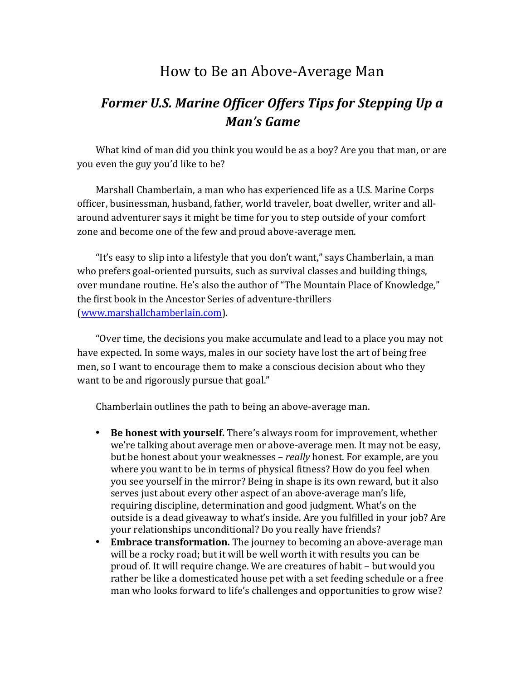## How to Be an Above-Average Man

## *Former U.S. Marine Officer Offers Tips for Stepping Up a Man's Game*

What kind of man did you think you would be as a boy? Are you that man, or are you even the guy you'd like to be?

Marshall Chamberlain, a man who has experienced life as a U.S. Marine Corps officer, businessman, husband, father, world traveler, boat dweller, writer and allaround adventurer says it might be time for you to step outside of your comfort zone and become one of the few and proud above-average men.

"It's easy to slip into a lifestyle that you don't want," says Chamberlain, a man who prefers goal-oriented pursuits, such as survival classes and building things, over mundane routine. He's also the author of "The Mountain Place of Knowledge," the first book in the Ancestor Series of adventure-thrillers (www.marshallchamberlain.com).

"Over time, the decisions you make accumulate and lead to a place you may not have expected. In some ways, males in our society have lost the art of being free men, so I want to encourage them to make a conscious decision about who they want to be and rigorously pursue that goal."

Chamberlain outlines the path to being an above-average man.

- **Be honest with yourself.** There's always room for improvement, whether we're talking about average men or above-average men. It may not be easy, but be honest about your weaknesses – *really* honest. For example, are you where you want to be in terms of physical fitness? How do you feel when you see yourself in the mirror? Being in shape is its own reward, but it also serves just about every other aspect of an above-average man's life, requiring discipline, determination and good judgment. What's on the outside is a dead giveaway to what's inside. Are you fulfilled in your job? Are your relationships unconditional? Do you really have friends?
- Embrace transformation. The journey to becoming an above-average man will be a rocky road; but it will be well worth it with results you can be proud of. It will require change. We are creatures of habit – but would you rather be like a domesticated house pet with a set feeding schedule or a free man who looks forward to life's challenges and opportunities to grow wise?